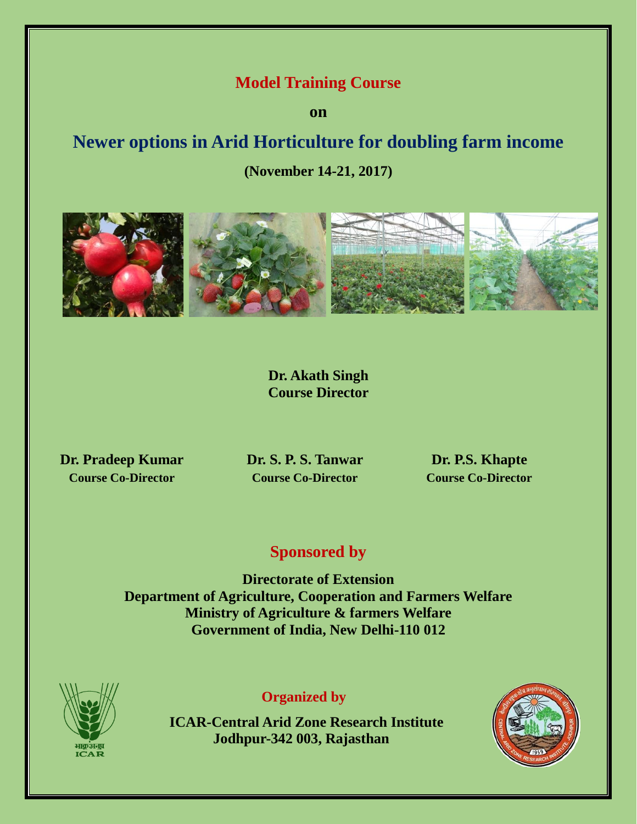## **Model Training Course**

**on**

# **Newer options in Arid Horticulture for doubling farm income**

**(November 14-21, 2017)**



**Dr. Akath Singh Course Director**

**Dr. Pradeep Kumar Dr. S. P. S. Tanwar Dr. P.S. Khapte**

**Course Co-Director Course Co-Director Course Co-Director**

# **Sponsored by**

**Directorate of Extension Department of Agriculture, Cooperation and Farmers Welfare Ministry of Agriculture & farmers Welfare Government of India, New Delhi-110 012**



## **Organized by**

**ICAR-Central Arid Zone Research Institute Jodhpur-342 003, Rajasthan** 

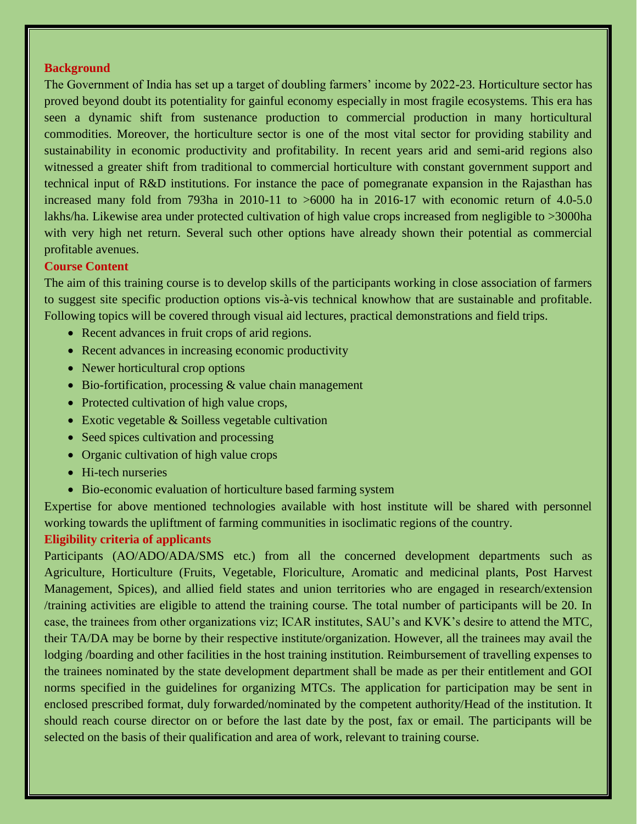#### **Background**

The Government of India has set up a target of doubling farmers' income by 2022-23. Horticulture sector has proved beyond doubt its potentiality for gainful economy especially in most fragile ecosystems. This era has seen a dynamic shift from sustenance production to commercial production in many horticultural commodities. Moreover, the horticulture sector is one of the most vital sector for providing stability and sustainability in economic productivity and profitability. In recent years arid and semi-arid regions also witnessed a greater shift from traditional to commercial horticulture with constant government support and technical input of R&D institutions. For instance the pace of pomegranate expansion in the Rajasthan has increased many fold from 793ha in 2010-11 to >6000 ha in 2016-17 with economic return of 4.0-5.0 lakhs/ha. Likewise area under protected cultivation of high value crops increased from negligible to >3000ha with very high net return. Several such other options have already shown their potential as commercial profitable avenues.

#### **Course Content**

The aim of this training course is to develop skills of the participants working in close association of farmers to suggest site specific production options vis-à-vis technical knowhow that are sustainable and profitable. Following topics will be covered through visual aid lectures, practical demonstrations and field trips.

- Recent advances in fruit crops of arid regions.
- Recent advances in increasing economic productivity
- Newer horticultural crop options
- $\bullet$  Bio-fortification, processing  $\&$  value chain management
- Protected cultivation of high value crops,
- Exotic vegetable & Soilless vegetable cultivation
- Seed spices cultivation and processing
- Organic cultivation of high value crops
- Hi-tech nurseries
- Bio-economic evaluation of horticulture based farming system

Expertise for above mentioned technologies available with host institute will be shared with personnel working towards the upliftment of farming communities in isoclimatic regions of the country.

#### **Eligibility criteria of applicants**

Participants (AO/ADO/ADA/SMS etc.) from all the concerned development departments such as Agriculture, Horticulture (Fruits, Vegetable, Floriculture, Aromatic and medicinal plants, Post Harvest Management, Spices), and allied field states and union territories who are engaged in research/extension /training activities are eligible to attend the training course. The total number of participants will be 20. In case, the trainees from other organizations viz; ICAR institutes, SAU's and KVK's desire to attend the MTC, their TA/DA may be borne by their respective institute/organization. However, all the trainees may avail the lodging /boarding and other facilities in the host training institution. Reimbursement of travelling expenses to the trainees nominated by the state development department shall be made as per their entitlement and GOI norms specified in the guidelines for organizing MTCs. The application for participation may be sent in enclosed prescribed format, duly forwarded/nominated by the competent authority/Head of the institution. It should reach course director on or before the last date by the post, fax or email. The participants will be selected on the basis of their qualification and area of work, relevant to training course.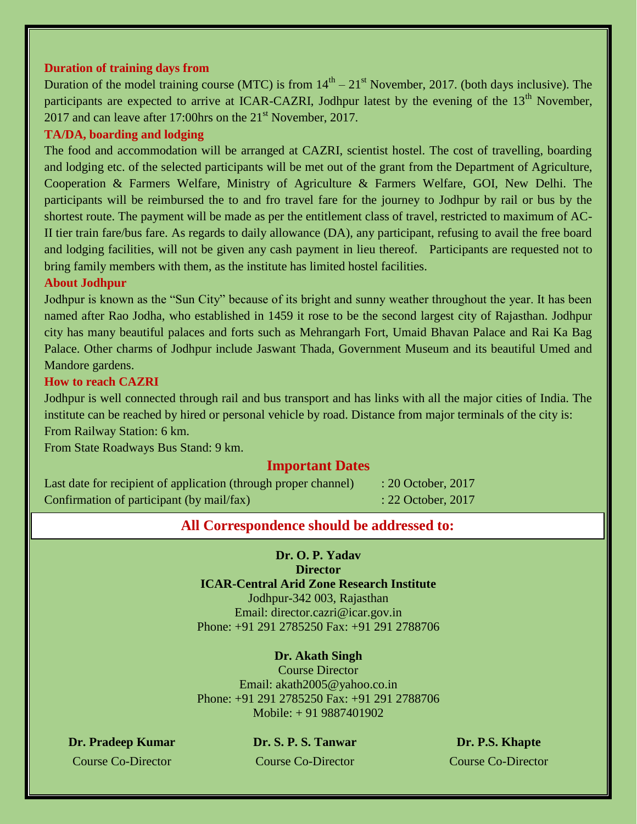#### **Duration of training days from**

Duration of the model training course (MTC) is from  $14<sup>th</sup> - 21<sup>st</sup>$  November, 2017. (both days inclusive). The participants are expected to arrive at ICAR-CAZRI, Jodhpur latest by the evening of the 13<sup>th</sup> November, 2017 and can leave after 17:00 hrs on the  $21<sup>st</sup>$  November, 2017.

#### **TA/DA, boarding and lodging**

The food and accommodation will be arranged at CAZRI, scientist hostel. The cost of travelling, boarding and lodging etc. of the selected participants will be met out of the grant from the Department of Agriculture, Cooperation & Farmers Welfare, Ministry of Agriculture & Farmers Welfare, GOI, New Delhi. The participants will be reimbursed the to and fro travel fare for the journey to Jodhpur by rail or bus by the shortest route. The payment will be made as per the entitlement class of travel, restricted to maximum of AC-II tier train fare/bus fare. As regards to daily allowance (DA), any participant, refusing to avail the free board and lodging facilities, will not be given any cash payment in lieu thereof. Participants are requested not to bring family members with them, as the institute has limited hostel facilities.

#### **About Jodhpur**

Jodhpur is known as the "Sun City" because of its bright and sunny weather throughout the year. It has been named after Rao Jodha, who established in 1459 it rose to be the second largest city of Rajasthan. Jodhpur city has many beautiful palaces and forts such as Mehrangarh Fort, Umaid Bhavan Palace and Rai Ka Bag Palace. Other charms of Jodhpur include Jaswant Thada, Government Museum and its beautiful Umed and Mandore gardens.

#### **How to reach CAZRI**

Jodhpur is well connected through rail and bus transport and has links with all the major cities of India. The institute can be reached by hired or personal vehicle by road. Distance from major terminals of the city is: From Railway Station: 6 km.

From State Roadways Bus Stand: 9 km.

#### **Important Dates**

Last date for recipient of application (through proper channel) : 20 October, 2017 Confirmation of participant (by mail/fax) : 22 October, 2017

#### **All Correspondence should be addressed to:**

**Dr. O. P. Yadav Director ICAR-Central Arid Zone Research Institute** Jodhpur-342 003, Rajasthan Email: director.cazri@icar.gov.in Phone: +91 291 2785250 Fax: +91 291 2788706

#### **Dr. Akath Singh**

Course Director Email: akath2005@yahoo.co.in Phone: +91 291 2785250 Fax: +91 291 2788706 Mobile: + 91 9887401902

**Dr. Pradeep Kumar Dr. S. P. S. Tanwar Dr. P.S. Khapte**

Course Co-Director Course Co-Director Course Co-Director